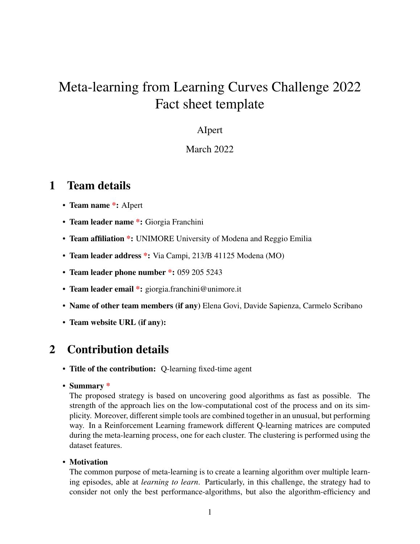# Meta-learning from Learning Curves Challenge 2022 Fact sheet template

#### AIpert

#### March 2022

### 1 Team details

- Team name \*: Alpert
- Team leader name \*: Giorgia Franchini
- Team affiliation \*: UNIMORE University of Modena and Reggio Emilia
- Team leader address \*: Via Campi, 213/B 41125 Modena (MO)
- Team leader phone number \*: 059 205 5243
- Team leader email \*: giorgia.franchini@unimore.it
- Name of other team members (if any) Elena Govi, Davide Sapienza, Carmelo Scribano
- Team website URL (if any):

# 2 Contribution details

- Title of the contribution: Q-learning fixed-time agent
- Summary \*

The proposed strategy is based on uncovering good algorithms as fast as possible. The strength of the approach lies on the low-computational cost of the process and on its simplicity. Moreover, different simple tools are combined together in an unusual, but performing way. In a Reinforcement Learning framework different Q-learning matrices are computed during the meta-learning process, one for each cluster. The clustering is performed using the dataset features.

• Motivation

The common purpose of meta-learning is to create a learning algorithm over multiple learning episodes, able at *learning to learn*. Particularly, in this challenge, the strategy had to consider not only the best performance-algorithms, but also the algorithm-efficiency and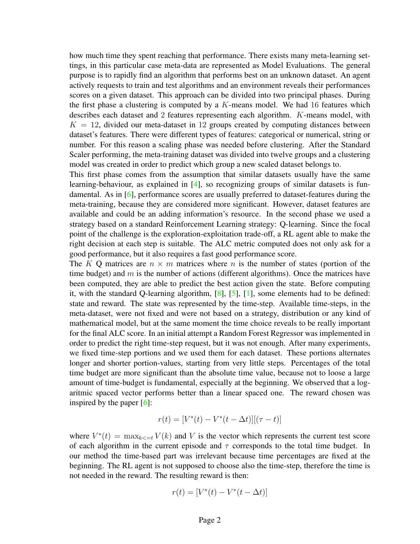how much time they spent reaching that performance. There exists many meta-learning settings, in this particular case meta-data are represented as Model Evaluations. The general purpose is to rapidly find an algorithm that performs best on an unknown dataset. An agent actively requests to train and test algorithms and an environment reveals their performances scores on a given dataset. This approach can be divided into two principal phases. During the first phase a clustering is computed by a  $K$ -means model. We had 16 features which describes each dataset and 2 features representing each algorithm. K-means model, with  $K = 12$ , divided our meta-dataset in 12 groups created by computing distances between dataset's features. There were different types of features: categorical or numerical, string or number. For this reason a scaling phase was needed before clustering. After the Standard Scaler performing, the meta-training dataset was divided into twelve groups and a clustering model was created in order to predict which group a new scaled dataset belongs to.

This first phase comes from the assumption that similar datasets usually have the same learning-behaviour, as explained in [\[4\]](#page-5-0), so recognizing groups of similar datasets is fundamental. As in [\[6\]](#page-5-1), performance scores are usually preferred to dataset-features during the meta-training, because they are considered more significant. However, dataset features are available and could be an adding information's resource. In the second phase we used a strategy based on a standard Reinforcement Learning strategy: Q-learning. Since the focal point of the challenge is the exploration-exploitation trade-off, a RL agent able to make the right decision at each step is suitable. The ALC metric computed does not only ask for a good performance, but it also requires a fast good performance score.

The K Q matrices are  $n \times m$  matrices where n is the number of states (portion of the time budget) and  $m$  is the number of actions (different algorithms). Once the matrices have been computed, they are able to predict the best action given the state. Before computing it, with the standard Q-learning algorithm, [\[8\]](#page-5-2), [\[5\]](#page-5-3), [\[1\]](#page-4-0), some elements had to be defined: state and reward. The state was represented by the time-step. Available time-steps, in the meta-dataset, were not fixed and were not based on a strategy, distribution or any kind of mathematical model, but at the same moment the time choice reveals to be really important for the final ALC score. In an initial attempt a Random Forest Regressor was implemented in order to predict the right time-step request, but it was not enough. After many experiments, we fixed time-step portions and we used them for each dataset. These portions alternates longer and shorter portion-values, starting from very little steps. Percentages of the total time budget are more significant than the absolute time value, because not to loose a large amount of time-budget is fundamental, especially at the beginning. We observed that a logaritmic spaced vector performs better than a linear spaced one. The reward chosen was inspired by the paper  $[6]$ :

$$
r(t) = [V^*(t) - V^*(t - \Delta t)][(\tau - t)]
$$

where  $V^*(t) = \max_{k \le t} V(k)$  and V is the vector which represents the current test score of each algorithm in the current episode and  $\tau$  corresponds to the total time budget. In our method the time-based part was irrelevant because time percentages are fixed at the beginning. The RL agent is not supposed to choose also the time-step, therefore the time is not needed in the reward. The resulting reward is then:

$$
r(t) = [V^*(t) - V^*(t - \Delta t)]
$$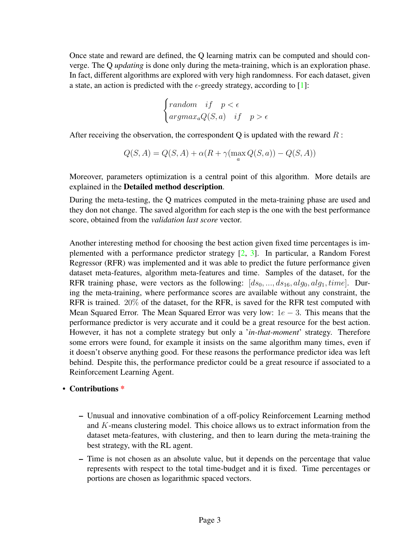Once state and reward are defined, the Q learning matrix can be computed and should converge. The Q *updating* is done only during the meta-training, which is an exploration phase. In fact, different algorithms are explored with very high randomness. For each dataset, given a state, an action is predicted with the  $\epsilon$ -greedy strategy, according to [\[1\]](#page-4-0):

$$
\begin{cases} random & if \quad p < \epsilon \\ argmax_a Q(S, a) & if \quad p > \epsilon \end{cases}
$$

After receiving the observation, the correspondent Q is updated with the reward  $R$ :

$$
Q(S, A) = Q(S, A) + \alpha (R + \gamma (\max_a Q(S, a)) - Q(S, A))
$$

Moreover, parameters optimization is a central point of this algorithm. More details are explained in the Detailed method description.

During the meta-testing, the Q matrices computed in the meta-training phase are used and they don not change. The saved algorithm for each step is the one with the best performance score, obtained from the *validation last score* vector.

Another interesting method for choosing the best action given fixed time percentages is implemented with a performance predictor strategy [\[2,](#page-5-4) [3\]](#page-5-5). In particular, a Random Forest Regressor (RFR) was implemented and it was able to predict the future performance given dataset meta-features, algorithm meta-features and time. Samples of the dataset, for the RFR training phase, were vectors as the following:  $[ds_0, ..., ds_{16}, alg_0, alg_1, time]$ . During the meta-training, where performance scores are available without any constraint, the RFR is trained. 20% of the dataset, for the RFR, is saved for the RFR test computed with Mean Squared Error. The Mean Squared Error was very low:  $1e - 3$ . This means that the performance predictor is very accurate and it could be a great resource for the best action. However, it has not a complete strategy but only a '*in-that-moment*' strategy. Therefore some errors were found, for example it insists on the same algorithm many times, even if it doesn't observe anything good. For these reasons the performance predictor idea was left behind. Despite this, the performance predictor could be a great resource if associated to a Reinforcement Learning Agent.

#### • Contributions \*

- Unusual and innovative combination of a off-policy Reinforcement Learning method and K-means clustering model. This choice allows us to extract information from the dataset meta-features, with clustering, and then to learn during the meta-training the best strategy, with the RL agent.
- Time is not chosen as an absolute value, but it depends on the percentage that value represents with respect to the total time-budget and it is fixed. Time percentages or portions are chosen as logarithmic spaced vectors.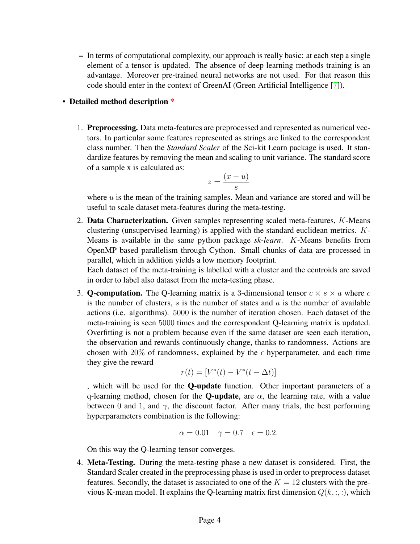– In terms of computational complexity, our approach is really basic: at each step a single element of a tensor is updated. The absence of deep learning methods training is an advantage. Moreover pre-trained neural networks are not used. For that reason this code should enter in the context of GreenAI (Green Artificial Intelligence [\[7\]](#page-5-6)).

#### • Detailed method description \*

1. Preprocessing. Data meta-features are preprocessed and represented as numerical vectors. In particular some features represented as strings are linked to the correspondent class number. Then the *Standard Scaler* of the Sci-kit Learn package is used. It standardize features by removing the mean and scaling to unit variance. The standard score of a sample x is calculated as:

$$
z = \frac{(x - u)}{s}
$$

where  $u$  is the mean of the training samples. Mean and variance are stored and will be useful to scale dataset meta-features during the meta-testing.

2. Data Characterization. Given samples representing scaled meta-features, K-Means clustering (unsupervised learning) is applied with the standard euclidean metrics. K-Means is available in the same python package *sk-learn*. K-Means benefits from OpenMP based parallelism through Cython. Small chunks of data are processed in parallel, which in addition yields a low memory footprint.

Each dataset of the meta-training is labelled with a cluster and the centroids are saved in order to label also dataset from the meta-testing phase.

3. **Q-computation.** The Q-learning matrix is a 3-dimensional tensor  $c \times s \times a$  where c is the number of clusters,  $s$  is the number of states and  $a$  is the number of available actions (i.e. algorithms). 5000 is the number of iteration chosen. Each dataset of the meta-training is seen 5000 times and the correspondent Q-learning matrix is updated. Overfitting is not a problem because even if the same dataset are seen each iteration, the observation and rewards continuously change, thanks to randomness. Actions are chosen with 20% of randomness, explained by the  $\epsilon$  hyperparameter, and each time they give the reward

$$
r(t) = [V^*(t) - V^*(t - \Delta t)]
$$

, which will be used for the Q-update function. Other important parameters of a q-learning method, chosen for the **Q-update**, are  $\alpha$ , the learning rate, with a value between 0 and 1, and  $\gamma$ , the discount factor. After many trials, the best performing hyperparameters combination is the following:

$$
\alpha = 0.01
$$
  $\gamma = 0.7$   $\epsilon = 0.2$ .

On this way the Q-learning tensor converges.

4. Meta-Testing. During the meta-testing phase a new dataset is considered. First, the Standard Scaler created in the preprocessing phase is used in order to preprocess dataset features. Secondly, the dataset is associated to one of the  $K = 12$  clusters with the previous K-mean model. It explains the Q-learning matrix first dimension  $Q(k, :, :)$ , which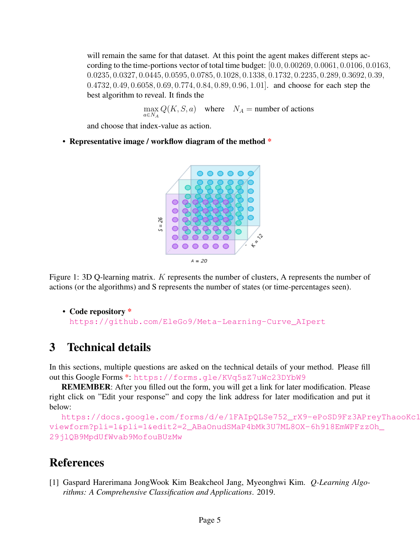will remain the same for that dataset. At this point the agent makes different steps according to the time-portions vector of total time budget: [0.0, 0.00269, 0.0061, 0.0106, 0.0163, 0.0235, 0.0327, 0.0445, 0.0595, 0.0785, 0.1028, 0.1338, 0.1732, 0.2235, 0.289, 0.3692, 0.39, 0.4732, 0.49, 0.6058, 0.69, 0.774, 0.84, 0.89, 0.96, 1.01]. and choose for each step the best algorithm to reveal. It finds the

 $\max_{a \in N_A} Q(K, S, a)$  where  $N_A$  = number of actions

and choose that index-value as action.

• Representative image / workflow diagram of the method \*



Figure 1: 3D Q-learning matrix. K represents the number of clusters, A represents the number of actions (or the algorithms) and S represents the number of states (or time-percentages seen).

• Code repository \* [https://github.com/EleGo9/Meta-Learning-Curve\\_AIpert](https://github.com/EleGo9/Meta-Learning-Curve_AIpert)

### 3 Technical details

In this sections, multiple questions are asked on the technical details of your method. Please fill out this Google Forms \*: <https://forms.gle/KVq5sZ7uWc23DYbW9>

REMEMBER: After you filled out the form, you will get a link for later modification. Please right click on "Edit your response" and copy the link address for later modification and put it below:

```
https://docs.google.com/forms/d/e/1FAIpQLSe752_rX9-ePoSD9Fz3APreyThaooKc1
viewform?pli=1&pli=1&edit2=2_ABaOnudSMaP4bMk3U7ML8OX-6h918EmWPFzzOh_
29jlQB9MpdUfWvab9MofouBUzMw
```
# References

<span id="page-4-0"></span>[1] Gaspard Harerimana JongWook Kim Beakcheol Jang, Myeonghwi Kim. *Q-Learning Algorithms: A Comprehensive Classification and Applications*. 2019.